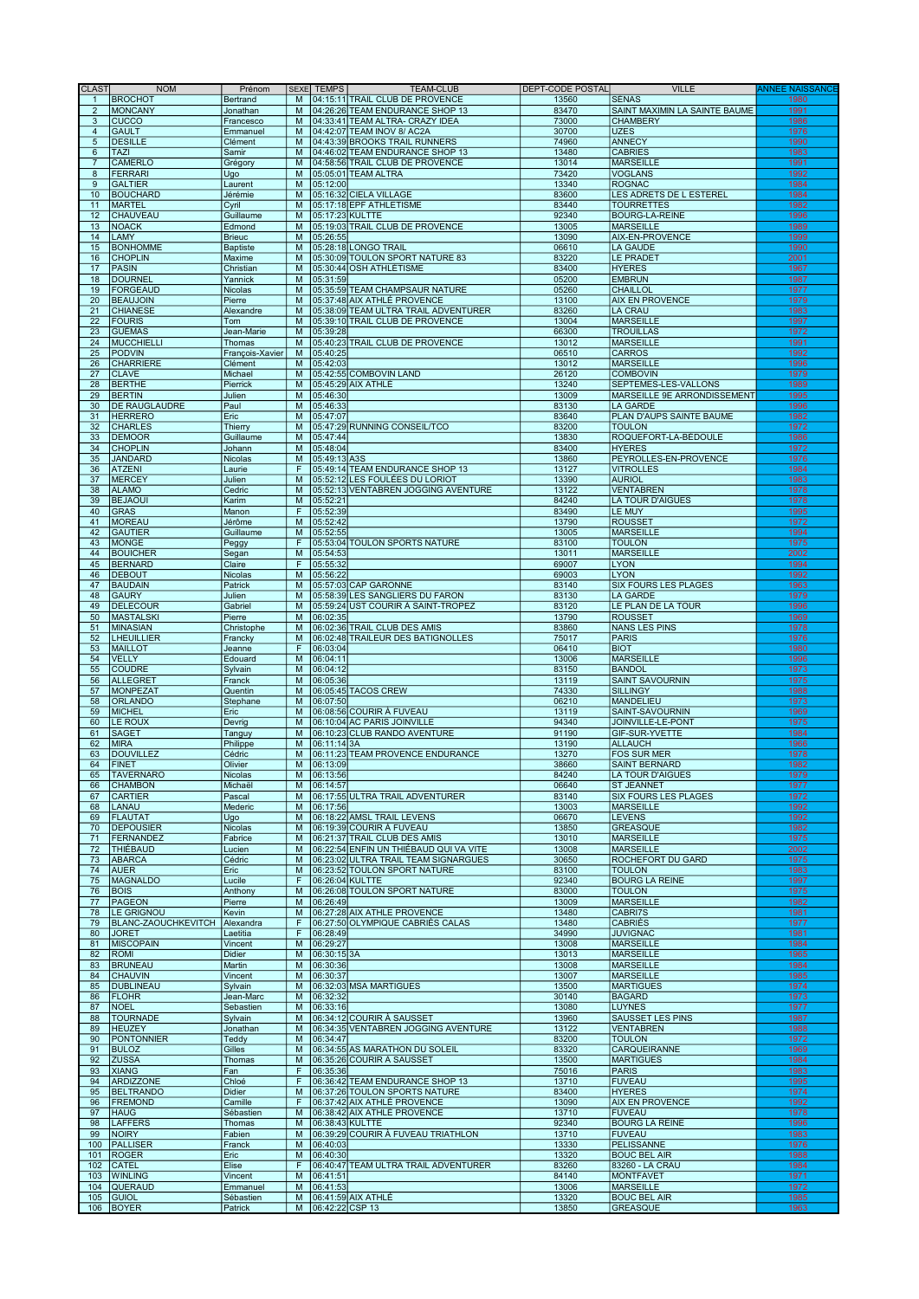| <b>CLAST</b>          | <b>NOM</b>                               | Prénom                | <b>SEXE</b>         | <b>TEMPS</b>         | <b>TEAM-CLUB</b>                                                        | DEPT-CODE POSTAL | <b>VILLE</b>                                | <b>ANNEE NAISSANCE</b> |
|-----------------------|------------------------------------------|-----------------------|---------------------|----------------------|-------------------------------------------------------------------------|------------------|---------------------------------------------|------------------------|
|                       | <b>BROCHOT</b>                           | Bertrand              | M                   |                      | 04:15:11 TRAIL CLUB DE PROVENCE                                         | 13560            | <b>SÉNAS</b>                                | 1980                   |
| $\overline{2}$        | <b>MONCANY</b>                           | Jonathan              | M                   |                      | 04:26:26 TEAM ENDURANCE SHOP 13                                         | 83470            | SAINT MAXIMIN LA SAINTE BAUME               | 1991                   |
| 3<br>$\overline{4}$   | <b>CUCCO</b><br><b>GAULT</b>             | Francesco             | M<br>M              |                      | 04:33:41 TEAM ALTRA- CRAZY IDEA<br>04:42:07 TEAM INOV 8/ AC2A           | 73000            | <b>CHAMBERY</b><br>UZES                     | 1986                   |
| $\sqrt{5}$            | <b>DESILLE</b>                           | Emmanuel<br>Clément   | M                   |                      | 04:43:39 BROOKS TRAIL RUNNERS                                           | 30700<br>74960   | ANNECY                                      | 1976<br>1990           |
| 6                     | <b>TAZI</b>                              | Samir                 | M                   |                      | 04:46:02 TEAM ENDURANCE SHOP 13                                         | 13480            | <b>CABRIES</b>                              | 1983                   |
| $\overline{7}$        | <b>CAMERLO</b>                           | Grégory               | M                   |                      | 04:58:56 TRAIL CLUB DE PROVENCE                                         | 13014            | <b>MARSEILLE</b>                            | 1991                   |
| 8                     | <b>FERRARI</b>                           | Ugo                   | M                   |                      | 05:05:01 TEAM ALTRA                                                     | 73420            | <b>VOGLANS</b>                              | 1992                   |
| 9                     | <b>GALTIER</b>                           | Laurent               | M                   | 05:12:00             |                                                                         | 13340            | <b>ROGNAC</b>                               | 1984                   |
| 10                    | <b>BOUCHARD</b>                          | Jérémie               | M                   |                      | 05:16:32 CIELA VILLAGE                                                  | 83600            | LES ADRETS DE L ESTEREL                     | 1984                   |
| 11<br>12              | <b>MARTEL</b><br>CHAUVEAU                | Cyril<br>Guillaume    | M<br>M              |                      | 05:17:18 EPF ATHLETISME<br>05:17:23 KULTTE                              | 83440<br>92340   | <b>TOURRETTES</b><br><b>BOURG-LA-REINE</b>  | 1982<br>1996           |
| 13                    | <b>NOACK</b>                             | Edmond                | M                   |                      | 05:19:03 TRAIL CLUB DE PROVENCE                                         | 13005            | <b>MARSEILLE</b>                            | 1989                   |
| 14                    | LAMY                                     | <b>Brieuc</b>         | M                   | 05:26:55             |                                                                         | 13090            | AIX-EN-PROVENCE                             | 1999                   |
| 15                    | <b>BONHOMME</b>                          | <b>Baptiste</b>       | M                   |                      | 05:28:18 LONGO TRAIL                                                    | 06610            | LA GAUDE                                    | 1990                   |
| 16                    | <b>CHOPLIN</b>                           | Maxime                | M                   |                      | 05:30:09 TOULON SPORT NATURE 83                                         | 83220            | <b>LE PRADET</b>                            | 2001                   |
| 17                    | <b>PASIN</b>                             | Christian             | M                   |                      | 05:30:44 OSH ATHLÉTISME                                                 | 83400            | <b>HYERES</b>                               | 1967                   |
| 18                    | <b>DOURNEL</b>                           | Yannick               | M                   | 05:31:59             |                                                                         | 05200            | <b>EMBRUN</b>                               | 1987                   |
| 19                    | <b>FORGEAUD</b>                          | Nicolas               | M                   |                      | 05:35:59 TEAM CHAMPSAUR NATURE                                          | 05260            | CHAILLOL                                    | 1977                   |
| 20                    | <b>BEAUJOIN</b>                          | Pierre                | M                   |                      | 05:37:48 AIX ATHLÉ PROVENCE                                             | 13100            | <b>AIX EN PROVENCE</b>                      | 1979                   |
| 21<br>$\overline{22}$ | <b>CHIANESE</b><br><b>FOURIS</b>         | Alexandre<br>Tom      | M<br>M              |                      | 05:38:09 TEAM ULTRA TRAIL ADVENTURER<br>05:39:10 TRAIL CLUB DE PROVENCE | 83260<br>13004   | <b>LA CRAU</b><br><b>MARSEILLE</b>          | 1983<br>1997           |
| 23                    | <b>GUÉMAS</b>                            | Jean-Marie            | M                   | 05:39:28             |                                                                         | 66300            | <b>TROUILLAS</b>                            | 1972                   |
| 24                    | <b>MUCCHIELLI</b>                        | Thomas                | M                   |                      | 05:40:23 TRAIL CLUB DE PROVENCE                                         | 13012            | <b>MARSEILLE</b>                            | 1991                   |
| 25                    | <b>PODVIN</b>                            | François-Xavier       | M                   | 05:40:25             |                                                                         | 06510            | <b>CARROS</b>                               | 1992                   |
| 26                    | <b>CHARRIERE</b>                         | Clément               | M                   | 05:42:03             |                                                                         | 13012            | <b>MARSEILLE</b>                            | 1996                   |
| 27                    | <b>CLAVE</b>                             | Michael               | M                   |                      | 05:42:55 COMBOVIN LAND                                                  | 26120            | <b>COMBOVIN</b>                             | 1979                   |
| 28                    | <b>BERTHE</b>                            | Pierrick              | M                   |                      | 05:45:29 AIX ATHLÉ                                                      | 13240            | SEPTEMES-LES-VALLONS                        | 1989                   |
| 29                    | <b>BERTIN</b>                            | Julien                | M                   | 05:46:30             |                                                                         | 13009            | MARSEILLE 9E ARRONDISSEMENT                 | 1995                   |
| 30<br>31              | DE RAUGLAUDRE<br><b>HERRERO</b>          | Paul<br>Eric          | M<br>M              | 05:46:33<br>05:47:07 |                                                                         | 83130<br>83640   | LA GARDE<br>PLAN D'AUPS SAINTE BAUME        | 1996<br>1982           |
| 32                    | <b>CHARLES</b>                           | Thierry               | M                   |                      | 05:47:29 RUNNING CONSEIL/TCO                                            | 83200            | <b>TOULON</b>                               | 1972                   |
| 33                    | <b>DEMOOR</b>                            | Guillaume             | M                   | 05:47:44             |                                                                         | 13830            | ROQUEFORT-LA-BÉDOULE                        | 1986                   |
| 34                    | <b>CHOPLIN</b>                           | Johann                | M                   | 05:48:04             |                                                                         | 83400            | <b>HYERES</b>                               | 1972                   |
| 35                    | <b>JANDARD</b>                           | Nicolas               | M                   | 05:49:13 A3S         |                                                                         | 13860            | PEYROLLES-EN-PROVENCE                       | 1976                   |
| 36                    | <b>ATZENI</b>                            | Laurie                | F                   |                      | 05:49:14 TEAM ENDURANCE SHOP 13                                         | 13127            | <b>VITROLLES</b>                            | 1984                   |
| 37                    | <b>MERCEY</b>                            | Julien                | M                   |                      | 05:52:12 LES FOULÉES DU LORIOT                                          | 13390            | <b>AURIOL</b>                               | 1983                   |
| 38                    | <b>ALAMO</b>                             | Cedric                | M                   |                      | 05:52:13 VENTABREN JOGGING AVENTURE                                     | 13122            | <b>VENTABREN</b>                            | 1978                   |
| 39                    | <b>BEJAOUI</b>                           | Karim                 | M<br>F              | 05:52:21             |                                                                         | 84240            | <b>LA TOUR D'AIGUES</b>                     | 1978                   |
| 40<br>41              | <b>GRAS</b><br><b>MOREAU</b>             | Manon                 | M                   | 05:52:39             |                                                                         | 83490            | <b>LE MUY</b>                               | 1995<br>1972           |
| 42                    | <b>GAUTIER</b>                           | Jérôme<br>Guillaume   | M                   | 05:52:42<br>05:52:55 |                                                                         | 13790<br>13005   | <b>ROUSSET</b><br>MARSEILLE                 | 1994                   |
| 43                    | <b>MONGE</b>                             | Peggy                 | F                   |                      | 05:53:04 TOULON SPORTS NATURE                                           | 83100            | <b>TOULON</b>                               | 1975                   |
| 44                    | <b>BOUICHER</b>                          | Segan                 | M                   | 05:54:53             |                                                                         | 13011            | <b>MARSEILLE</b>                            | 2002                   |
| 45                    | <b>BERNARD</b>                           | Claire                | F                   | 05:55:32             |                                                                         | 69007            | <b>LYON</b>                                 | 1994                   |
| 46                    | <b>DEBOUT</b>                            | Nicolas               | M                   | 05:56:22             |                                                                         | 69003            | <b>LYON</b>                                 | 1992                   |
| 47                    | <b>BAUDAIN</b>                           | Patrick               | M                   |                      | 05:57:03 CAP GARONNE                                                    | 83140            | SIX FOURS LES PLAGES                        | 1963                   |
| 48                    | <b>GAURY</b>                             | Julien                | M                   |                      | 05:58:39 LES SANGLIERS DU FARON                                         | 83130            | LA GARDE                                    | 1979                   |
| 49                    | <b>DELECOUR</b>                          | Gabriel               | M                   |                      | 05:59:24 UST COURIR A SAINT-TROPEZ                                      | 83120            | LE PLAN DE LA TOUR                          | 1996                   |
| 50                    | <b>MASTALSKI</b>                         | Pierre                | M                   | 06:02:35             |                                                                         | 13790            | <b>ROUSSET</b>                              | 1969                   |
| 51<br>52              | <b>MINASIAN</b><br><b>LHEUILLIER</b>     | Christophe            | M<br>M              |                      | 06:02:36 TRAIL CLUB DES AMIS<br>06:02:48 TRAILEUR DES BATIGNOLLES       | 83860<br>75017   | <b>NANS LES PINS</b><br>PARIS               | 1978<br>1976           |
| 53                    | <b>MAILLOT</b>                           | Francky<br>Jeanne     | F                   | 06:03:04             |                                                                         | 06410            | <b>BIOT</b>                                 | 1980                   |
| 54                    | <b>VELLY</b>                             | Edouard               | M                   | 06:04:11             |                                                                         | 13006            | <b>MARSEILLE</b>                            | 1996                   |
| 55                    | <b>COUDRE</b>                            | Sylvain               | M                   | 06:04:12             |                                                                         | 83150            | <b>BANDOL</b>                               | 1973                   |
| 56                    | <b>ALLEGRET</b>                          | Franck                | M                   | 06:05:36             |                                                                         | 13119            | <b>SAINT SAVOURNIN</b>                      | 1975                   |
| 57                    | <b>MONPEZAT</b>                          | Quentin               | M                   |                      | 06:05:45 TACOS CREW                                                     | 74330            | SILLINGY                                    | 1988                   |
| 58                    | <b>ORLANDO</b>                           | Stephane              | M                   | 06:07:50             |                                                                         | 06210            | MANDELIEU                                   | 1973                   |
| 59                    | <b>MICHEL</b>                            | Eric                  | M                   |                      | 06:08:56 COURIR À FUVEAU                                                | 13119            | SAINT-SAVOURNIN                             | 1969                   |
| 60                    | LE ROUX                                  | Devrig                | M                   |                      | 06:10:04 AC PARIS JOINVILLE                                             | 94340            | JOINVILLE-LE-PONT                           | 1975                   |
| 61<br>62              | <b>SAGET</b><br><b>MIRA</b>              | Tanguy                | M<br>M              | 06:11:14 3A          | 06:10:23 CLUB RANDO AVENTURE                                            | 91190<br>13190   | GIF-SUR-YVETTE<br><b>ALLAUCH</b>            | 1984<br>1966           |
| 63                    | <b>DOUVILLEZ</b>                         | Philippe<br>Cédric    | M                   |                      | 06:11:23 TEAM PROVENCE ENDURANCE                                        | 13270            | <b>FOS SUR MER</b>                          | 1978                   |
| 64                    | <b>FINET</b>                             | Olivier               | M                   | 06:13:09             |                                                                         | 38660            | <b>SAINT BERNARD</b>                        | 1982                   |
| 65                    | <b>TAVERNARO</b>                         | Nicolas               |                     | M 06:13:56           |                                                                         | 84240            | LA TOUR D'AIGUES                            | 1979                   |
| 66                    | <b>CHAMBON</b>                           | Michaël               | М                   | 06:14:57             |                                                                         | 06640            | <b>ST JEANNET</b>                           | 1977                   |
| 67                    | <b>CARTIER</b>                           | Pascal                | M                   |                      | 06:17:55 ULTRA TRAIL ADVENTURER                                         | 83140            | <b>SIX FOURS LES PLAGES</b>                 | 1972                   |
| 68                    | LANAU                                    | Mederic               | M                   | 06:17:56             |                                                                         | 13003            | MARSEILLE                                   | 1992                   |
| 69                    | <b>FLAUTAT</b>                           | Ugo                   | M                   |                      | 06:18:22 AMSL TRAIL LEVENS                                              | 06670            | <b>LEVENS</b>                               | 1992                   |
| 70<br>71              | <b>DEPOUSIER</b><br><b>FERNANDEZ</b>     | Nicolas<br>Fabrice    | M<br>M              |                      | 06:19:39 COURIR À FUVEAU<br>06:21:37 TRAIL CLUB DES AMIS                | 13850<br>13010   | <b>GREASQUE</b><br><b>MARSEILLE</b>         | 1982<br>1975           |
| 72                    | <b>THIÉBAUD</b>                          | Lucien                | M                   |                      | 06:22:54 ENFIN UN THIÉBAUD QUI VA VITE                                  | 13008            | <b>MARSEILLE</b>                            | 2002                   |
| 73                    | <b>ABARCA</b>                            | Cédric                | M                   |                      | 06:23:02 ULTRA TRAIL TEAM SIGNARGUES                                    | 30650            | <b>ROCHEFORT DU GARD</b>                    | 1975                   |
| 74                    | <b>AUER</b>                              | Eric                  | M                   |                      | 06:23:52 TOULON SPORT NATURE                                            | 83100            | <b>TOULON</b>                               | 1983                   |
| 75                    | <b>MAGNALDO</b>                          | Lucile                | F                   | 06:26:04 KULTTE      |                                                                         | 92340            | <b>BOURG LA REINE</b>                       | 1997                   |
| 76                    | <b>BOIS</b>                              | Anthony               | M                   |                      | 06:26:08 TOULON SPORT NATURE                                            | 83000            | <b>TOULON</b>                               | 1975                   |
| 77                    | <b>PAGEON</b>                            | Pierre                | M                   | 06:26:49             |                                                                         | 13009            | <b>MARSEILLE</b>                            | 1982                   |
| 78<br>79              | <b>LE GRIGNOU</b><br>BLANC-ZAOUCHKEVITCH | Kevin                 | M<br>$\overline{F}$ |                      | 06:27:28 AIX ATHLE PROVENCE<br>06:27:50 OLYMPIQUE CABRIÈS CALAS         | 13480<br>13480   | <b>CABRI7S</b><br><b>CABRIÈS</b>            | 1981<br>1977           |
| 80                    | <b>JORET</b>                             | Alexandra<br>Laetitia | F                   | 06:28:49             |                                                                         | 34990            | <b>JUVIGNAC</b>                             | 1981                   |
| 81                    | <b>MISCOPAIN</b>                         | Vincent               | M                   | 06:29:27             |                                                                         | 13008            | <b>MARSEILLE</b>                            | 1984                   |
| 82                    | <b>ROMI</b>                              | Didier                | M                   | 06:30:15 3A          |                                                                         | 13013            | <b>MARSEILLE</b>                            | 1965                   |
| 83                    | <b>BRUNEAU</b>                           | Martin                | M                   | 06:30:36             |                                                                         | 13008            | MARSEILLE                                   | 1984                   |
| 84                    | <b>CHAUVIN</b>                           | Vincent               | M                   | 06:30:37             |                                                                         | 13007            | <b>MARSEILLE</b>                            | 1985                   |
| 85                    | <b>DUBLINEAU</b>                         | Sylvain               | M                   |                      | 06:32:03 MSA MARTIGUES                                                  | 13500            | <b>MARTIGUES</b>                            | 1974                   |
| 86                    | <b>FLOHR</b>                             | Jean-Marc             | M                   | 06:32:32             |                                                                         | 30140            | <b>BAGARD</b>                               | 1973                   |
| 87                    | <b>NOEL</b>                              | Sebastien             | M                   | 06:33:16             |                                                                         | 13080            | <b>LUYNES</b>                               | 1977                   |
| 88<br>89              | <b>TOURNADE</b><br><b>HEUZEY</b>         | Sylvain<br>Jonathan   | M<br>M              |                      | 06:34:12 COURIR À SAUSSET<br>06:34:35 VENTABREN JOGGING AVENTURE        | 13960<br>13122   | <b>SAUSSET LES PINS</b><br><b>VENTABREN</b> | 1987<br>1988           |
| 90                    | <b>PONTONNIER</b>                        | Teddy                 | M                   | 06:34:47             |                                                                         | 83200            | <b>TOULON</b>                               | 1972                   |
| 91                    | <b>BULOZ</b>                             | Gilles                | M                   |                      | 06:34:55 AS MARATHON DU SOLEIL                                          | 83320            | CARQUEIRANNE                                | 1969                   |
| 92                    | <b>ZUSSA</b>                             | Thomas                | M                   |                      | 06:35:26 COURIR À SAUSSET                                               | 13500            | <b>MARTIGUES</b>                            | 1984                   |
| 93                    | <b>XIANG</b>                             | Fan                   | $\mathsf F$         | 06:35:36             |                                                                         | 75016            | PARIS                                       | 1983                   |
| 94                    | <b>ARDIZZONE</b>                         | Chloé                 | F                   |                      | 06:36:42 TEAM ENDURANCE SHOP 13                                         | 13710            | FUVEAU                                      | 1995                   |
| 95                    | <b>BELTRANDO</b>                         | <b>Didier</b>         | M                   |                      | 06:37:26 TOULON SPORTS NATURE                                           | 83400            | <b>HYERES</b>                               | 1974                   |
| 96                    | <b>FREMOND</b>                           | Camille               | F                   |                      | 06:37:42 AIX ATHLÉ PROVENCE                                             | 13090            | <b>AIX EN PROVENCE</b>                      | 1992                   |
| 97                    | <b>HAUG</b>                              | Sébastien             | M                   |                      | 06:38:42 AIX ATHLÉ PROVENCE                                             | 13710            | FUVEAU                                      | 1978                   |
| 98<br>99              | <b>LAFFERS</b>                           | Thomas                | M<br>M              | 06:38:43 KULTTE      |                                                                         | 92340<br>13710   | <b>BOURG LA REINE</b><br>FUVEAU             | 1996<br>1983           |
| 100                   | <b>NOIRY</b><br><b>PALLISER</b>          | Fabien<br>Franck      | M                   | 06:40:03             | 06:39:29 COURIR À FUVEAU TRIATHLON                                      | 13330            | PELISSANNE                                  | 1976                   |
| 101                   | <b>ROGER</b>                             | Eric                  | M                   | 06:40:30             |                                                                         | 13320            | <b>BOUC BEL AIR</b>                         | 1988                   |
| 102                   | <b>CATEL</b>                             | Elise                 | F                   |                      | 06:40:47 TEAM ULTRA TRAIL ADVENTURER                                    | 83260            | 83260 - LA CRAU                             | 1984                   |
| 103                   | <b>WINLING</b>                           | Vincent               | M                   | 06:41:51             |                                                                         | 84140            | MONTFAVET                                   | 1971                   |
| 104                   | QUERAUD                                  | Emmanuel              | M                   | 06:41:53             |                                                                         | 13006            | <b>MARSEILLE</b>                            | 1972                   |
| 105                   | <b>GUIOL</b>                             | Sébastien             | M                   |                      | 06:41:59 AIX ATHLÉ                                                      | 13320            | <b>BOUC BEL AIR</b>                         | 1985                   |
|                       | 106 BOYER                                | Patrick               | M                   | 06:42:22 CSP 13      |                                                                         | 13850            | <b>GREASQUE</b>                             | 1963                   |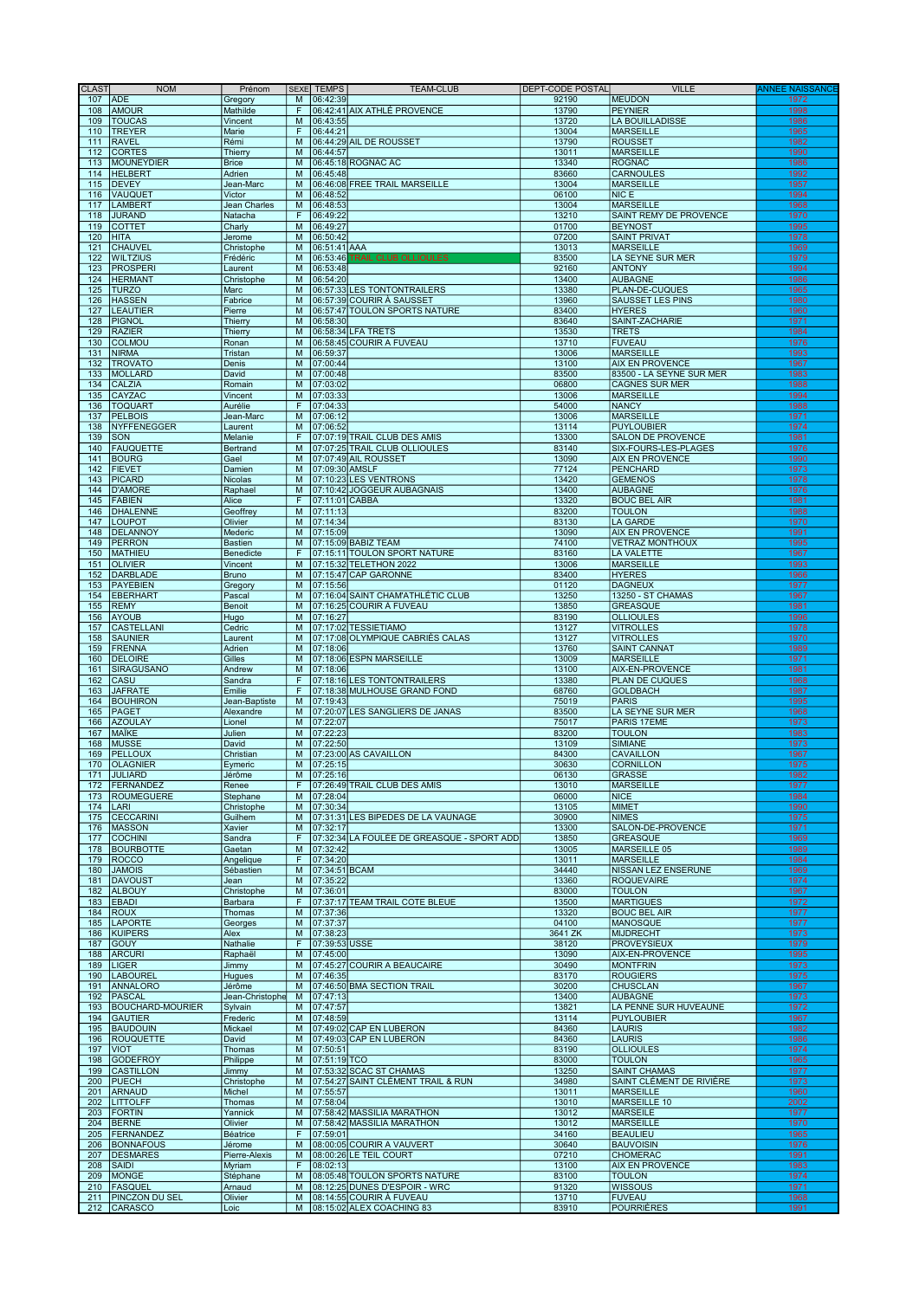| <b>CLAST</b> | <b>NOM</b>                          | Prénom                |                | SEXE TEMPS               | <b>TEAM-CLUB</b>                                   | <b>DEPT-CODE POSTAL</b> | <b>VILLE</b>                            | ANNEE NAISSANCI |
|--------------|-------------------------------------|-----------------------|----------------|--------------------------|----------------------------------------------------|-------------------------|-----------------------------------------|-----------------|
| 107          | <b>ADE</b>                          | Gregory               | M              | 06:42:39                 |                                                    | 92190                   | <b>MEUDON</b>                           | 1972            |
| 108          | <b>AMOUR</b>                        | Mathilde              | F              |                          | 06:42:41 AIX ATHLÉ PROVENCE                        | 13790                   | PEYNIER                                 | 1998            |
| 109          | <b>TOUCAS</b>                       | Vincent               | M              | 06:43:55                 |                                                    | 13720                   | <b>LA BOUILLADISSE</b>                  | 1986            |
| 110          | <b>TREYER</b>                       | Marie                 | F              | 06:44:21                 |                                                    | 13004                   | MARSEILLE                               | 1965            |
| 111          | <b>RAVEL</b>                        | Rémi                  | M              |                          | 06:44:29 AIL DE ROUSSET                            | 13790                   | <b>ROUSSET</b>                          | 1982            |
| 112          | <b>CORTES</b>                       | Thierry               | $\overline{M}$ | 06:44:57                 |                                                    | 13011                   | <b>MARSEILLE</b><br><b>ROGNAC</b>       | 1990            |
| 113          | <b>MOUNEYDIER</b>                   | <b>Brice</b>          | M              |                          | 06:45:18 ROGNAC AC                                 | 13340                   |                                         | 1986            |
| 114          | <b>HELBERT</b>                      | Adrien                | M<br>M         | 06:45:48                 |                                                    | 83660<br>13004          | <b>CARNOULES</b>                        | 1992<br>1957    |
| 115<br>116   | <b>DEVEY</b><br>VAUQUET             | Jean-Marc<br>Victor   | M              | 06:48:52                 | 06:46:08 FREE TRAIL MARSEILLE                      | 06100                   | <b>MARSEILLE</b><br>NIC E               | 1994            |
| 117          | <b>LAMBERT</b>                      | Jean Charles          | M              | 06:48:53                 |                                                    | 13004                   | <b>MARSEILLE</b>                        | 1968            |
| 118          |                                     | Natacha               | F              |                          |                                                    |                         | SAINT REMY DE PROVENCE                  | 1970            |
| 119          | <b>JURAND</b><br><b>COTTET</b>      |                       | M              | 06:49:22                 |                                                    | 13210<br>01700          | <b>BEYNOST</b>                          | 1995            |
| 120          | <b>HITA</b>                         | Charly                | M              | 06:49:27                 |                                                    |                         |                                         | 1978            |
| 121          | <b>CHAUVEL</b>                      | Jerome                | M              | 06:50:42<br>06:51:41 AAA |                                                    | 07200<br>13013          | <b>SAINT PRIVAT</b><br><b>MARSEILLE</b> | 1969            |
| 122          | <b>WILTZIUS</b>                     | Christophe            | M              |                          | 06:53:46 TRAIL CLUB OLLIOULES                      | 83500                   |                                         | 1979            |
| 123          | <b>PROSPERI</b>                     | Frédéric              | M              | 06:53:48                 |                                                    | 92160                   | LA SEYNE SUR MER<br><b>ANTONY</b>       | 1994            |
| 124          | <b>HERMANT</b>                      | Laurent<br>Christophe | M              | 06:54:20                 |                                                    | 13400                   | <b>AUBAGNE</b>                          | 1986            |
| 125          | <b>TURZO</b>                        | Marc                  | M              |                          | 06:57:33 LES TONTONTRAILERS                        | 13380                   | PLAN-DE-CUQUES                          | 1965            |
| 126          | <b>HASSEN</b>                       | Fabrice               | M              |                          | 06:57:39 COURIR À SAUSSET                          | 13960                   | <b>SAUSSET LES PINS</b>                 | 1980            |
| 127          | <b>LEAUTIER</b>                     | Pierre                | M              |                          | 06:57:47 TOULON SPORTS NATURE                      | 83400                   | <b>HYERES</b>                           | 1960            |
| 128          | <b>PIGNOL</b>                       | Thierry               | M              | 06:58:30                 |                                                    | 83640                   | SAINT-ZACHARIE                          | 1971            |
| 129          | <b>RAZIER</b>                       | Thierry               | M              |                          | 06:58:34 LFA TRETS                                 | 13530                   | <b>TRETS</b>                            | 1984            |
| 130          | <b>COLMOU</b>                       | Ronan                 | M              |                          | 06:58:45 COURIR A FUVEAU                           | 13710                   | FUVEAU                                  | 1976            |
| 131          | <b>NIRMA</b>                        | Tristan               | M              | 06:59:37                 |                                                    | 13006                   | <b>MARSEILLE</b>                        | 1993            |
| 132          | <b>TROVATO</b>                      | Denis                 | M              | 07:00:44                 |                                                    | 13100                   | <b>AIX EN PROVENCE</b>                  | 1967            |
| 133          | <b>MOLLARD</b>                      | David                 | M              | 07:00:48                 |                                                    | 83500                   | 83500 - LA SEYNE SUR MER                | 1983            |
| 134          | <b>CALZIA</b>                       | Romain                | M              | 07:03:02                 |                                                    | 06800                   | <b>CAGNES SUR MER</b>                   | 1988            |
| 135          | CAYZAC                              | Vincent               | M              | 07:03:33                 |                                                    | 13006                   | <b>MARSEILLE</b>                        | 1994            |
| 136          | <b>TOQUART</b>                      | Aurélie               | F              | 07:04:33                 |                                                    | 54000                   | NANCY                                   | 1988            |
| 137          | <b>PELBOIS</b>                      | Jean-Marc             | $\overline{M}$ | 07:06:12                 |                                                    | 13006                   | <b>MARSEILLE</b>                        | 1971            |
| 138          | NYFFENEGGER                         | Laurent               | M              | 07:06:52                 |                                                    | 13114                   | PUYLOUBIER                              | 1974            |
| 139          | <b>SON</b>                          | Melanie               | F              |                          | 07:07:19 TRAIL CLUB DES AMIS                       | 13300                   | <b>SALON DE PROVENCE</b>                | 1981            |
| 140          | <b>FAUQUETTE</b>                    | Bertrand              | M              |                          | 07:07:25 TRAIL CLUB OLLIOULES                      | 83140                   | SIX-FOURS-LES-PLAGES                    | 1976            |
| 141          | <b>BOURG</b>                        | Gael                  | M              |                          | 07:07:49 AIL ROUSSET                               | 13090                   | <b>AIX EN PROVENCE</b>                  | 1990            |
| 142          | <b>FIEVET</b>                       | Damien                | M              | 07:09:30 AMSLF           |                                                    | 77124                   | PENCHARD                                | 1973            |
| 143          | <b>PICARD</b>                       | <b>Nicolas</b>        | M              |                          | 07:10:23 LES VENTRONS                              | 13420                   | <b>GEMENOS</b>                          | 1978            |
| 144          | <b>D'AMORE</b>                      | Raphael               | $\overline{M}$ |                          | 07:10:42 JOGGEUR AUBAGNAIS                         | 13400                   | <b>AUBAGNE</b>                          | 1976            |
| 145          | <b>FABIEN</b>                       | Alice                 | F              | 07:11:01 CABBA           |                                                    | 13320                   | <b>BOUC BEL AIR</b>                     | 1981            |
| 146          | <b>DHALENNE</b>                     | Geoffrey              | M              | 07:11:13                 |                                                    | 83200                   | <b>TOULON</b>                           | 1988            |
| 147          | <b>LOUPOT</b>                       | Olivier               | M              | 07:14:34                 |                                                    | 83130                   | <b>LA GARDE</b>                         | 1970            |
| 148          | <b>DELANNOY</b>                     | Mederic               | M              | 07:15:09                 |                                                    | 13090                   | <b>AIX EN PROVENCE</b>                  | 1991            |
| 149          | <b>PERRON</b>                       | <b>Bastien</b>        | M              |                          | 07:15:09 BABIZ TEAM                                | 74100                   | <b>VETRAZ MONTHOUX</b>                  | 1995            |
| 150          | <b>MATHIEU</b>                      | Benedicte             | F              |                          | 07:15:11 TOULON SPORT NATURE                       | 83160                   | <b>LA VALETTE</b>                       | 1967            |
| 151          | <b>OLIVIER</b>                      | Vincent               | M              |                          | 07:15:32 TELETHON 2022                             | 13006                   | <b>MARSEILLE</b>                        | 1993            |
| 152          | <b>DARBLADE</b>                     | <b>Bruno</b>          | M              |                          | 07:15:47 CAP GARONNE                               | 83400                   | <b>HYERES</b>                           | 1966            |
| 153          | <b>PAYEBIEN</b>                     | Gregory               | $\overline{M}$ | 07:15:56                 |                                                    | 01120                   | <b>DAGNEUX</b>                          | 1977            |
| 154          | <b>EBERHART</b>                     | Pascal                | M              |                          | 07:16:04 SAINT CHAM'ATHLÉTIC CLUB                  | 13250                   | 13250 - ST CHAMAS                       | 1967            |
| 155          | <b>REMY</b>                         | Benoit                | M              |                          | 07:16:25 COURIR À FUVEAU                           | 13850                   | <b>GREASQUE</b>                         | 1981            |
| 156          | <b>AYOUB</b>                        | Hugo                  | M              | 07:16:27                 |                                                    | 83190                   | <b>OLLIOULES</b>                        | 1996            |
| 157          | <b>CASTELLANI</b>                   | Cedric                | M              |                          | 07:17:02 TESSIETIAMO                               | 13127                   | <b>VITROLLES</b>                        | 1978            |
| 158          | <b>SAUNIER</b>                      | Laurent               | M              |                          | 07:17:08 OLYMPIQUE CABRIÈS CALAS                   | 13127                   | <b>VITROLLES</b>                        | 1970            |
| 159          | <b>FRENNA</b>                       | Adrien                | M              | 07:18:06                 |                                                    | 13760                   | <b>SAINT CANNAT</b>                     | 1989            |
| 160          | <b>DELOIRE</b>                      | Gilles                | M              |                          | 07:18:06 ESPN MARSEILLE                            | 13009                   | <b>MARSEILLE</b>                        | 1971            |
| 161          | <b>SIRAGUSANO</b>                   | Andrew                | M              | 07:18:06                 |                                                    | 13100                   | AIX-EN-PROVENCE                         | 1981            |
| 162          | CASU                                | Sandra                | F              |                          | 07:18:16 LES TONTONTRAILERS                        | 13380                   | <b>PLAN DE CUQUES</b>                   | 1968            |
| 163          | <b>JAFRATE</b>                      | Emilie                | F              |                          | 07:18:38 MULHOUSE GRAND FOND                       | 68760                   | <b>GOLDBACH</b>                         | 1987            |
| 164          | <b>BOUHIRON</b>                     | Jean-Baptiste         | M              | 07:19:43                 |                                                    | 75019                   | PARIS                                   | 1995            |
| 165          | <b>PAGET</b>                        | Alexandre             | M              |                          | 07:20:07 LES SANGLIERS DE JANAS                    | 83500                   | <b>LA SEYNE SUR MER</b>                 | 1968            |
| 166          | <b>AZOULAY</b>                      | Lionel                | M              | 07:22:07                 |                                                    | 75017                   | PARIS 17EME                             | 1973            |
| 167          | MAÏKE                               | Julien                | M              | 07:22:23                 |                                                    | 83200                   | <b>TOULON</b>                           | 1983            |
| 168          | <b>MUSSE</b>                        | David                 | M              | 07:22:50                 |                                                    | 13109                   | <b>SIMIANE</b>                          | 1973            |
| 169          | <b>PELLOUX</b>                      | Christian             | M              |                          | 07:23:00 AS CAVAILLON                              | 84300                   | <b>CAVAILLON</b>                        | 1967            |
| 170          | <b>OLAGNIER</b>                     | Eymeric               | M              | 07:25:15                 |                                                    | 30630                   | <b>CORNILLON</b>                        | 1975            |
|              | 171 JULIARD                         | Jérôme                |                | M 07:25:16               |                                                    | 06130                   | <b>GRASSE</b>                           | 1982            |
|              | 172 FERNANDEZ                       | Renee                 | F              |                          | 07:26:49 TRAIL CLUB DES AMIS                       | 13010                   | <b>MARSEILLE</b>                        | 1977            |
| 173          | ROUMEGUERE                          | Stephane              | M              | 07:28:04                 |                                                    | 06000                   | NICE                                    | 1984            |
| 174          | LARI                                | Christophe            | M              | 07:30:34                 |                                                    | 13105                   | MIMET                                   | 1990            |
| 175          | <b>CECCARINI</b>                    | Guilhem               | M              |                          | 07:31:31 LES BIPEDES DE LA VAUNAGE                 | 30900                   | <b>NIMES</b>                            | 1975            |
| 176          | <b>MASSON</b>                       | <b>Xavier</b>         | M              | 07:32:17                 |                                                    | 13300                   | SALON-DE-PROVENCE                       | 1971            |
| 177          | <b>COCHINI</b>                      | Sandra                | F              |                          | 07:32:34 LA FOULÉE DE GREASQUE - SPORT ADD         | 13850                   | <b>GREASQUE</b>                         | 1969            |
| 178          | <b>BOURBOTTE</b>                    | Gaetan                | M              | 07:32:42                 |                                                    | 13005                   | MARSEILLE 05                            | 1989            |
| 179          | <b>ROCCO</b>                        | Angelique             | F              | 07:34:20                 |                                                    | 13011                   | <b>MARSEILLE</b>                        | 1984            |
| 180          | <b>JAMOIS</b>                       | Sébastien             | M              | 07:34:51 BCAM            |                                                    | 34440                   | <b>NISSAN LEZ ENSERUNE</b>              | 1969            |
| 181          | <b>DAVOUST</b>                      | Jean                  | M              | 07:35:22                 |                                                    | 13360                   | <b>ROQUEVAIRE</b>                       | 1974            |
| 182          | <b>ALBOUY</b>                       | Christophe            | M              | 07:36:01                 |                                                    | 83000                   | <b>TOULON</b>                           | 1967            |
| 183          | <b>EBADI</b>                        | Barbara               | F              |                          | 07:37:17 TEAM TRAIL COTE BLEUE                     | 13500                   | <b>MARTIGUES</b>                        | 1972            |
| 184          | <b>ROUX</b>                         | Thomas                | M              | 07:37:36                 |                                                    | 13320                   | <b>BOUC BEL AIR</b>                     | 1977            |
| 185          | <b>LAPORTE</b>                      | Georges               | M              | 07:37:37                 |                                                    | 04100                   | MANOSQUE                                | 1977            |
| 186          | <b>KUIPERS</b>                      | Alex                  | M              | 07:38:23                 |                                                    | 3641 ZK                 | MIJDRECHT                               | 1973            |
| 187          | <b>GOUY</b>                         | Nathalie              | F              | 07:39:53 USSE            |                                                    | 38120                   | PROVEYSIEUX                             | 1979            |
| 188          | <b>ARCURI</b>                       | Raphaël               | M              | 07:45:00                 |                                                    | 13090                   | <b>AIX-EN-PROVENCE</b>                  | 1995            |
| 189          | <b>LIGER</b>                        | Jimmy                 | M              |                          | 07:45:27 COURIR A BEAUCAIRE                        | 30490                   | <b>MONTFRIN</b>                         | 1973            |
| 190          | <b>LABOUREL</b>                     | Hugues                | M              | 07:46:35                 |                                                    | 83170                   | <b>ROUGIERS</b>                         | 1975            |
| 191          | <b>ANNALORO</b>                     | Jérôme                | M              |                          | 07:46:50 BMA SECTION TRAIL                         | 30200                   | <b>CHUSCLAN</b>                         | 1967            |
| 192          | <b>PASCAL</b>                       | Jean-Christophe       | M              | 07:47:13                 |                                                    | 13400                   | <b>AUBAGNE</b>                          | 1973            |
| 193          | <b>BOUCHARD-MOURIER</b>             | Sylvain               | M              | 07:47:57                 |                                                    | 13821                   | LA PENNE SUR HUVEAUNE                   | 1972            |
| 194          | <b>GAUTIER</b>                      | Frederic              | M              | 07:48:59                 |                                                    | 13114                   | PUYLOUBIER                              | 1967            |
| 195          | <b>BAUDOUIN</b><br><b>ROUQUETTE</b> | Mickael               | M              |                          | 07:49:02 CAP EN LUBERON<br>07:49:03 CAP EN LUBERON | 84360<br>84360          | LAURIS<br>LAURIS                        | 1982<br>1986    |
| 196<br>197   | <b>VIOT</b>                         | David<br>Thomas       | M<br>M         | 07:50:51                 |                                                    | 83190                   | <b>OLLIOULES</b>                        | 1974            |
| 198          | <b>GODEFROY</b>                     |                       | M              | 07:51:19 TCO             |                                                    | 83000                   | <b>TOULON</b>                           | 1965            |
|              |                                     | Philippe              |                |                          |                                                    |                         | <b>SAINT CHAMAS</b>                     | 1977            |
| 199          | <b>CASTILLON</b>                    | Jimmy                 | M              |                          | 07:53:32 SCAC ST CHAMAS                            | 13250                   |                                         |                 |
| 200          | PUECH                               | Christophe            | M              |                          | 07:54:27 SAINT CLÉMENT TRAIL & RUN                 | 34980                   | SAINT CLÉMENT DE RIVIÈRE                | 1973            |
| 201          | <b>ARNAUD</b>                       | Michel                | M              | 07:55:57                 |                                                    | 13011                   | <b>MARSEILLE</b>                        | 1960            |
| 202          | <b>LITTOLFF</b>                     | Thomas                | M              | 07:58:04                 |                                                    | 13010                   | MARSEILLE 10                            | 2002            |
| 203<br>204   | <b>FORTIN</b><br><b>BERNE</b>       | Yannick               | M<br>M         |                          | 07:58:42 MASSILIA MARATHON                         | 13012                   | <b>MARSEILE</b>                         | 1977<br>1970    |
| 205          | <b>FERNANDEZ</b>                    | Olivier<br>Béatrice   | F              | 07:59:01                 | 07:58:42 MASSILIA MARATHON                         | 13012<br>34160          | <b>MARSEILLE</b><br><b>BEAULIEU</b>     | 1965            |
| 206          | <b>BONNAFOUS</b>                    | Jérome                | M              |                          | 08:00:05 COURIR A VAUVERT                          | 30640                   | <b>BAUVOISIN</b>                        | 1976            |
| 207          |                                     | Pierre-Alexis         | M              |                          | 08:00:26 LE TEIL COURT                             | 07210                   | <b>CHOMERAC</b>                         |                 |
| 208          | <b>DESMARES</b>                     |                       | F              | 08:02:13                 |                                                    |                         | <b>AIX EN PROVENCE</b>                  | 1991<br>1983    |
| 209          | <b>SAIDI</b><br><b>MONGE</b>        | Myriam                | M              |                          | 08:05:48 TOULON SPORTS NATURE                      | 13100<br>83100          | <b>TOULON</b>                           | 1974            |
| 210          | FASQUEL                             | Stéphane              | M              |                          | 08:12:25 DUNES D'ESPOIR - WRC                      | 91320                   | <b>WISSOUS</b>                          | 1971            |
| 211          | PINCZON DU SEL                      | Arnaud<br>Olivier     | M              |                          | 08:14:55 COURIR À FUVEAU                           | 13710                   | <b>FUVEAU</b>                           | 1968            |
|              | 212 CARASCO                         | Loic                  |                |                          | M   08:15:02 ALEX COACHING 83                      | 83910                   | POURRIÈRES                              | 1991            |
|              |                                     |                       |                |                          |                                                    |                         |                                         |                 |